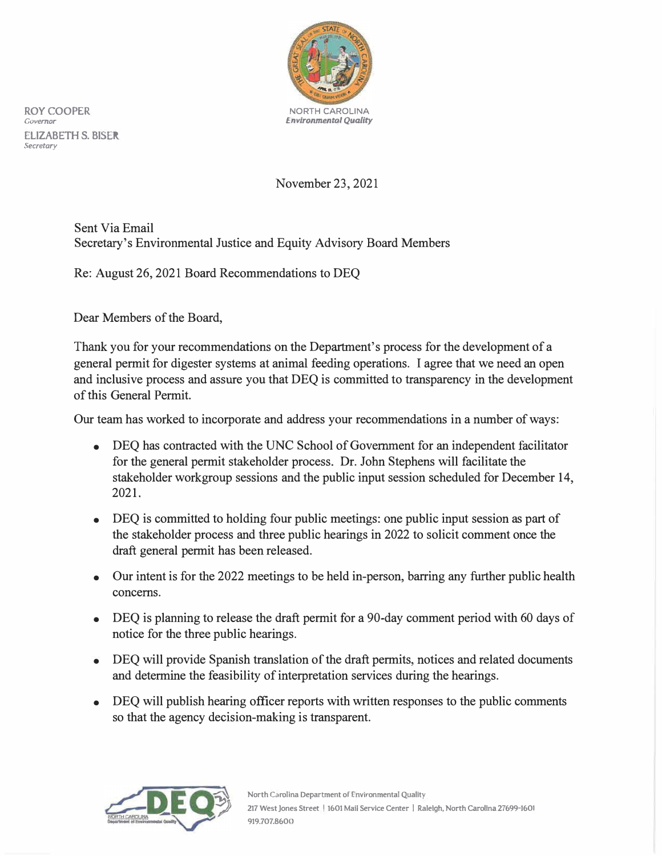

**ROY COOPER** NORTH CAROLINA **ELIZABETH S. BISER**  *Secretary* 

## November 23, 2021

Sent Via Email Secretary's Environmental Justice and Equity Advisory Board Members

Re: August 26, 2021 Board Recommendations to DEQ

Dear Members of the Board,

Thank you for your recommendations on the Department's process for the development of a general permit for digester systems at animal feeding operations. I agree that we need an open and inclusive process and assure you that DEQ is committed to transparency in the development of this General Permit.

Our team has worked to incorporate and address your recommendations in a number of ways:

- DEQ has contracted with the UNC School of Government for an independent facilitator for the general permit stakeholder process. Dr. John Stephens will facilitate the stakeholder workgroup sessions and the public input session scheduled for December 14, 2021.
- DEQ is committed to holding four public meetings: one public input session as part of the stakeholder process and three public hearings in 2022 to solicit comment once the draft general permit has been released.
- Our intent is for the 2022 meetings to be held in-person, barring any further public health concerns.
- DEQ is planning to release the draft permit for a 90-day comment period with 60 days of notice for the three public hearings.
- DEQ will provide Spanish translation of the draft permits, notices and related documents and determine the feasibility of interpretation services during the hearings.
- DEQ will publish hearing officer reports with written responses to the public comments so that the agency decision-making is transparent.